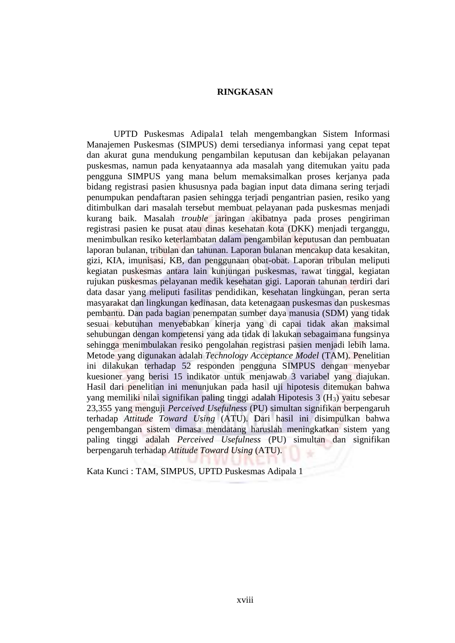## **RINGKASAN**

UPTD Puskesmas Adipala1 telah mengembangkan Sistem Informasi Manajemen Puskesmas (SIMPUS) demi tersedianya informasi yang cepat tepat dan akurat guna mendukung pengambilan keputusan dan kebijakan pelayanan puskesmas, namun pada kenyataannya ada masalah yang ditemukan yaitu pada pengguna SIMPUS yang mana belum memaksimalkan proses kerjanya pada bidang registrasi pasien khususnya pada bagian input data dimana sering terjadi penumpukan pendaftaran pasien sehingga terjadi pengantrian pasien, resiko yang ditimbulkan dari masalah tersebut membuat pelayanan pada puskesmas menjadi kurang baik. Masalah *trouble* jaringan akibatnya pada proses pengiriman registrasi pasien ke pusat atau dinas kesehatan kota (DKK) menjadi terganggu, menimbulkan resiko keterlambatan dalam pengambilan keputusan dan pembuatan laporan bulanan, tribulan dan tahunan. Laporan bulanan mencakup data kesakitan, gizi, KIA, imunisasi, KB, dan penggunaan obat-obat. Laporan tribulan meliputi kegiatan puskesmas antara lain kunjungan puskesmas, rawat tinggal, kegiatan rujukan puskesmas pelayanan medik kesehatan gigi. Laporan tahunan terdiri dari data dasar yang meliputi fasilitas pendidikan, kesehatan lingkungan, peran serta masyarakat dan lingkungan kedinasan, data ketenagaan puskesmas dan puskesmas pembantu. Dan pada bagian penempatan sumber daya manusia (SDM) yang tidak sesuai kebutuhan menyebabkan kinerja yang di capai tidak akan maksimal sehubungan dengan kompetensi yang ada tidak di lakukan sebagaimana fungsinya sehingga menimbulakan resiko pengolahan registrasi pasien menjadi lebih lama. Metode yang digunakan adalah *Technology Acceptance Model* (TAM). Penelitian ini dilakukan terhadap 52 responden pengguna SIMPUS dengan menyebar kuesioner yang berisi 15 indikator untuk menjawab 3 variabel yang diajukan. Hasil dari penelitian ini menunjukan pada hasil uji hipotesis ditemukan bahwa yang memiliki nilai signifikan paling tinggi adalah Hipotesis 3 (H3) yaitu sebesar 23,355 yang menguji *Perceived Usefulness* (PU) simultan signifikan berpengaruh terhadap *Attitude Toward Using* (ATU). Dari hasil ini disimpulkan bahwa pengembangan sistem dimasa mendatang haruslah meningkatkan sistem yang paling tinggi adalah *Perceived Usefulness* (PU) simultan dan signifikan berpengaruh terhadap *Attitude Toward Using* (ATU).

Kata Kunci : TAM, SIMPUS, UPTD Puskesmas Adipala 1